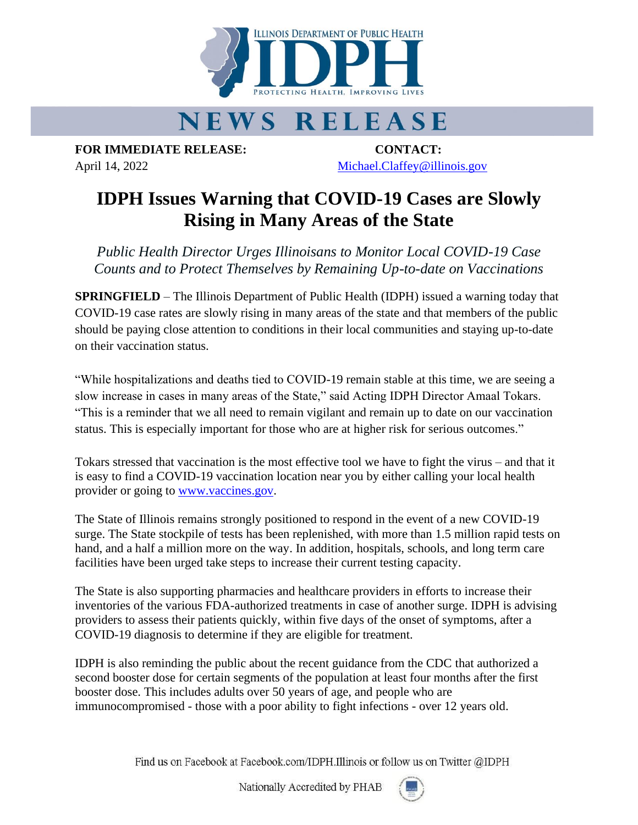

## **NEWS RELEASE**

**FOR IMMEDIATE RELEASE: CONTACT:** April 14, 2022 [Michael.Claffey@illinois.gov](mailto:Michael.Claffey@illinois.gov)

## **IDPH Issues Warning that COVID-19 Cases are Slowly Rising in Many Areas of the State**

*Public Health Director Urges Illinoisans to Monitor Local COVID-19 Case Counts and to Protect Themselves by Remaining Up-to-date on Vaccinations* 

**SPRINGFIELD** – The Illinois Department of Public Health (IDPH) issued a warning today that COVID-19 case rates are slowly rising in many areas of the state and that members of the public should be paying close attention to conditions in their local communities and staying up-to-date on their vaccination status.

"While hospitalizations and deaths tied to COVID-19 remain stable at this time, we are seeing a slow increase in cases in many areas of the State," said Acting IDPH Director Amaal Tokars. "This is a reminder that we all need to remain vigilant and remain up to date on our vaccination status. This is especially important for those who are at higher risk for serious outcomes."

Tokars stressed that vaccination is the most effective tool we have to fight the virus – and that it is easy to find a COVID-19 vaccination location near you by either calling your local health provider or going to [www.vaccines.gov.](http://www.vaccines.gov/)

The State of Illinois remains strongly positioned to respond in the event of a new COVID-19 surge. The State stockpile of tests has been replenished, with more than 1.5 million rapid tests on hand, and a half a million more on the way. In addition, hospitals, schools, and long term care facilities have been urged take steps to increase their current testing capacity.

The State is also supporting pharmacies and healthcare providers in efforts to increase their inventories of the various FDA-authorized treatments in case of another surge. IDPH is advising providers to assess their patients quickly, within five days of the onset of symptoms, after a COVID-19 diagnosis to determine if they are eligible for treatment.

IDPH is also reminding the public about the recent guidance from the CDC that authorized a second booster dose for certain segments of the population at least four months after the first booster dose. This includes adults over 50 years of age, and people who are immunocompromised - those with a poor ability to fight infections - over 12 years old.

Find us on Facebook at Facebook.com/IDPH.Illinois or follow us on Twitter @IDPH

Nationally Accredited by PHAB